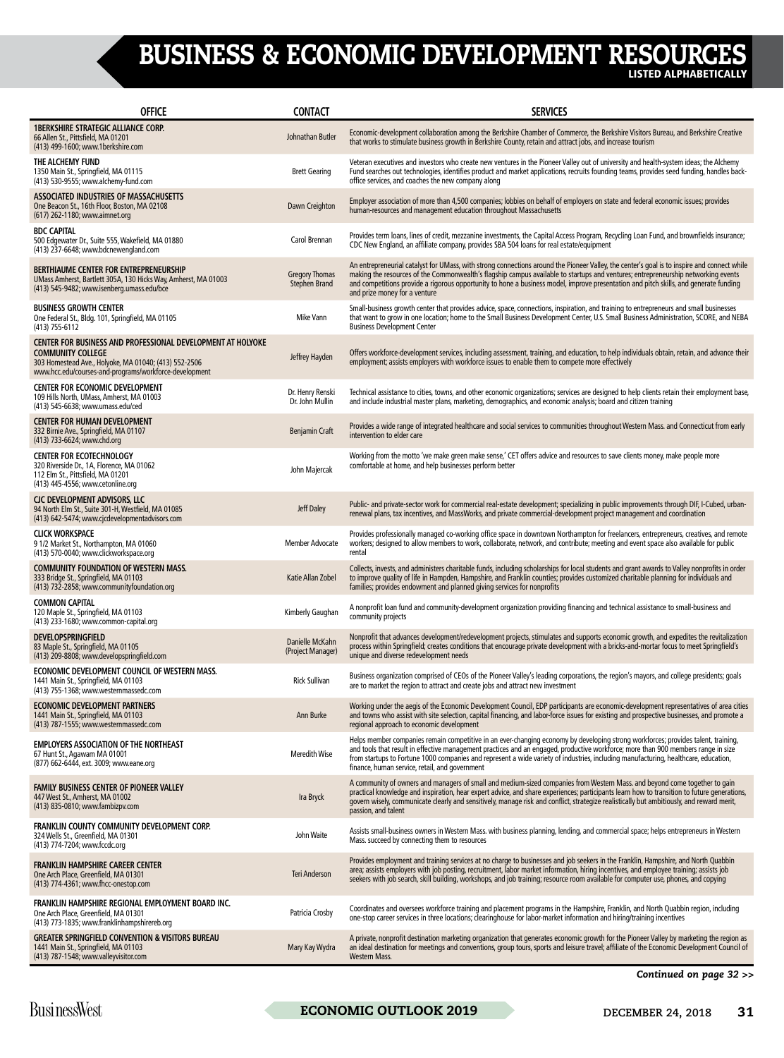## BUSINESS & ECONOMIC DEVELOPMENT RESOURCES

LISTED ALPHABETICALLY

| <b>OFFICE</b>                                                                                                                                                                                              | <b>CONTACT</b>                                | <b>SERVICES</b>                                                                                                                                                                                                                                                                                                                                                                                                                                                 |
|------------------------------------------------------------------------------------------------------------------------------------------------------------------------------------------------------------|-----------------------------------------------|-----------------------------------------------------------------------------------------------------------------------------------------------------------------------------------------------------------------------------------------------------------------------------------------------------------------------------------------------------------------------------------------------------------------------------------------------------------------|
| <b>1BERKSHIRE STRATEGIC ALLIANCE CORP.</b><br>66 Allen St., Pittsfield, MA 01201<br>(413) 499-1600; www.1berkshire.com                                                                                     | Johnathan Butler                              | Economic-development collaboration among the Berkshire Chamber of Commerce, the Berkshire Visitors Bureau, and Berkshire Creative<br>that works to stimulate business growth in Berkshire County, retain and attract jobs, and increase tourism                                                                                                                                                                                                                 |
| THE ALCHEMY FUND<br>1350 Main St., Springfield, MA 01115<br>(413) 530-9555; www.alchemy-fund.com                                                                                                           | <b>Brett Gearing</b>                          | Veteran executives and investors who create new ventures in the Pioneer Valley out of university and health-system ideas; the Alchemy<br>Fund searches out technologies, identifies product and market applications, recruits founding teams, provides seed funding, handles back-<br>office services, and coaches the new company along                                                                                                                        |
| ASSOCIATED INDUSTRIES OF MASSACHUSETTS<br>One Beacon St., 16th Floor, Boston, MA 02108<br>(617) 262-1180; www.aimnet.org                                                                                   | Dawn Creighton                                | Employer association of more than 4,500 companies; lobbies on behalf of employers on state and federal economic issues; provides<br>human-resources and management education throughout Massachusetts                                                                                                                                                                                                                                                           |
| <b>BDC CAPITAL</b><br>500 Edgewater Dr., Suite 555, Wakefield, MA 01880<br>(413) 237-6648; www.bdcnewengland.com                                                                                           | Carol Brennan                                 | Provides term loans, lines of credit, mezzanine investments, the Capital Access Program, Recycling Loan Fund, and brownfields insurance;<br>CDC New England, an affiliate company, provides SBA 504 loans for real estate/equipment                                                                                                                                                                                                                             |
| BERTHIAUME CENTER FOR ENTREPRENEURSHIP<br>UMass Amherst, Bartlett 305A, 130 Hicks Way, Amherst, MA 01003<br>(413) 545-9482; www.isenberg.umass.edu/bce                                                     | <b>Gregory Thomas</b><br><b>Stephen Brand</b> | An entrepreneurial catalyst for UMass, with strong connections around the Pioneer Valley, the center's goal is to inspire and connect while<br>making the resources of the Commonwealth's flagship campus available to startups and ventures; entrepreneurship networking events<br>and competitions provide a rigorous opportunity to hone a business model, improve presentation and pitch skills, and generate funding<br>and prize money for a venture      |
| <b>BUSINESS GROWTH CENTER</b><br>One Federal St., Bldg. 101, Springfield, MA 01105<br>$(413)$ 755-6112                                                                                                     | Mike Vann                                     | Small-business growth center that provides advice, space, connections, inspiration, and training to entrepreneurs and small businesses<br>that want to grow in one location; home to the Small Business Development Center, U.S. Small Business Administration, SCORE, and NEBA<br><b>Business Development Center</b>                                                                                                                                           |
| CENTER FOR BUSINESS AND PROFESSIONAL DEVELOPMENT AT HOLYOKE<br><b>COMMUNITY COLLEGE</b><br>303 Homestead Ave., Holyoke, MA 01040; (413) 552-2506<br>www.hcc.edu/courses-and-programs/workforce-development | Jeffrey Hayden                                | Offers workforce-development services, including assessment, training, and education, to help individuals obtain, retain, and advance their<br>employment; assists employers with workforce issues to enable them to compete more effectively                                                                                                                                                                                                                   |
| <b>CENTER FOR ECONOMIC DEVELOPMENT</b><br>109 Hills North, UMass, Amherst, MA 01003<br>(413) 545-6638; www.umass.edu/ced                                                                                   | Dr. Henry Renski<br>Dr. John Mullin           | Technical assistance to cities, towns, and other economic organizations; services are designed to help clients retain their employment base,<br>and include industrial master plans, marketing, demographics, and economic analysis; board and citizen training                                                                                                                                                                                                 |
| <b>CENTER FOR HUMAN DEVELOPMENT</b><br>332 Birnie Ave., Springfield, MA 01107<br>(413) 733-6624; www.chd.org                                                                                               | <b>Benjamin Craft</b>                         | Provides a wide range of integrated healthcare and social services to communities throughout Western Mass. and Connecticut from early<br>intervention to elder care                                                                                                                                                                                                                                                                                             |
| <b>CENTER FOR ECOTECHNOLOGY</b><br>320 Riverside Dr., 1A, Florence, MA 01062<br>112 Elm St., Pittsfield, MA 01201<br>(413) 445-4556; www.cetonline.org                                                     | John Majercak                                 | Working from the motto 'we make green make sense,' CET offers advice and resources to save clients money, make people more<br>comfortable at home, and help businesses perform better                                                                                                                                                                                                                                                                           |
| CJC DEVELOPMENT ADVISORS, LLC<br>94 North Elm St., Suite 301-H, Westfield, MA 01085<br>(413) 642-5474; www.cjcdevelopmentadvisors.com                                                                      | <b>Jeff Daley</b>                             | Public- and private-sector work for commercial real-estate development; specializing in public improvements through DIF, I-Cubed, urban-<br>renewal plans, tax incentives, and MassWorks, and private commercial-development project management and coordination                                                                                                                                                                                                |
| <b>CLICK WORKSPACE</b><br>91/2 Market St., Northampton, MA 01060<br>(413) 570-0040; www.clickworkspace.org                                                                                                 | Member Advocate                               | Provides professionally managed co-working office space in downtown Northampton for freelancers, entrepreneurs, creatives, and remote<br>workers; designed to allow members to work, collaborate, network, and contribute; meeting and event space also available for public<br>rental                                                                                                                                                                          |
| <b>COMMUNITY FOUNDATION OF WESTERN MASS.</b><br>333 Bridge St., Springfield, MA 01103<br>(413) 732-2858; www.communityfoundation.org                                                                       | Katie Allan Zobel                             | Collects, invests, and administers charitable funds, including scholarships for local students and grant awards to Valley nonprofits in order<br>to improve quality of life in Hampden, Hampshire, and Franklin counties; provides customized charitable planning for individuals and<br>families; provides endowment and planned giving services for nonprofits                                                                                                |
| <b>COMMON CAPITAL</b><br>120 Maple St., Springfield, MA 01103<br>(413) 233-1680; www.common-capital.org                                                                                                    | Kimberly Gaughan                              | A nonprofit loan fund and community-development organization providing financing and technical assistance to small-business and<br>community projects                                                                                                                                                                                                                                                                                                           |
| <b>DEVELOPSPRINGFIELD</b><br>83 Maple St., Springfield, MA 01105<br>(413) 209-8808; www.developspringfield.com                                                                                             | Danielle McKahn<br>(Project Manager)          | Nonprofit that advances development/redevelopment projects, stimulates and supports economic growth, and expedites the revitalization<br>process within Springfield; creates conditions that encourage private development with a bricks-and-mortar focus to meet Springfield's<br>unique and diverse redevelopment needs                                                                                                                                       |
| ECONOMIC DEVELOPMENT COUNCIL OF WESTERN MASS.<br>1441 Main St., Springfield, MA 01103<br>(413) 755-1368; www.westernmassedc.com                                                                            | <b>Rick Sullivan</b>                          | Business organization comprised of CEOs of the Pioneer Valley's leading corporations, the region's mayors, and college presidents; goals<br>are to market the region to attract and create jobs and attract new investment                                                                                                                                                                                                                                      |
| <b>ECONOMIC DEVELOPMENT PARTNERS</b><br>1441 Main St., Springfield, MA 01103<br>(413) 787-1555; www.westernmassedc.com                                                                                     | Ann Burke                                     | Working under the aegis of the Economic Development Council, EDP participants are economic-development representatives of area cities<br>and towns who assist with site selection, capital financing, and labor-force issues for existing and prospective businesses, and promote a<br>regional approach to economic development                                                                                                                                |
| <b>EMPLOYERS ASSOCIATION OF THE NORTHEAST</b><br>67 Hunt St., Agawam MA 01001<br>(877) 662-6444, ext. 3009; www.eane.org                                                                                   | <b>Meredith Wise</b>                          | Helps member companies remain competitive in an ever-changing economy by developing strong workforces; provides talent, training,<br>and tools that result in effective management practices and an engaged, productive workforce; more than 900 members range in size<br>from startups to Fortune 1000 companies and represent a wide variety of industries, including manufacturing, healthcare, education,<br>finance, human service, retail, and government |
| FAMILY BUSINESS CENTER OF PIONEER VALLEY<br>447 West St., Amherst, MA 01002<br>(413) 835-0810; www.fambizpv.com                                                                                            | Ira Bryck                                     | A community of owners and managers of small and medium-sized companies from Western Mass. and beyond come together to gain<br>practical knowledge and inspiration, hear expert advice, and share experiences; participants learn how to transition to future generations,<br>govern wisely, communicate clearly and sensitively, manage risk and conflict, strategize realistically but ambitiously, and reward merit,<br>passion, and talent                   |
| FRANKLIN COUNTY COMMUNITY DEVELOPMENT CORP.<br>324 Wells St., Greenfield, MA 01301<br>(413) 774-7204; www.fccdc.org                                                                                        | John Waite                                    | Assists small-business owners in Western Mass. with business planning, lending, and commercial space; helps entrepreneurs in Western<br>Mass. succeed by connecting them to resources                                                                                                                                                                                                                                                                           |
| <b>FRANKLIN HAMPSHIRE CAREER CENTER</b><br>One Arch Place, Greenfield, MA 01301<br>(413) 774-4361; www.fhcc-onestop.com                                                                                    | Teri Anderson                                 | Provides employment and training services at no charge to businesses and job seekers in the Franklin, Hampshire, and North Quabbin<br>area; assists employers with job posting, recruitment, labor market information, hiring incentives, and employee training; assists job<br>seekers with job search, skill building, workshops, and job training; resource room available for computer use, phones, and copying                                             |
| FRANKLIN HAMPSHIRE REGIONAL EMPLOYMENT BOARD INC.<br>One Arch Place, Greenfield, MA 01301<br>(413) 773-1835; www.franklinhampshirereb.org                                                                  | Patricia Crosby                               | Coordinates and oversees workforce training and placement programs in the Hampshire, Franklin, and North Quabbin region, including<br>one-stop career services in three locations; clearinghouse for labor-market information and hiring/training incentives                                                                                                                                                                                                    |
| <b>GREATER SPRINGFIELD CONVENTION &amp; VISITORS BUREAU</b><br>1441 Main St., Springfield, MA 01103<br>(413) 787-1548; www.valleyvisitor.com                                                               | Mary Kay Wydra                                | A private, nonprofit destination marketing organization that generates economic growth for the Pioneer Valley by marketing the region as<br>an ideal destination for meetings and conventions, group tours, sports and leisure travel; affiliate of the Economic Development Council of<br><b>Western Mass.</b>                                                                                                                                                 |

*Continued on page 32 >>*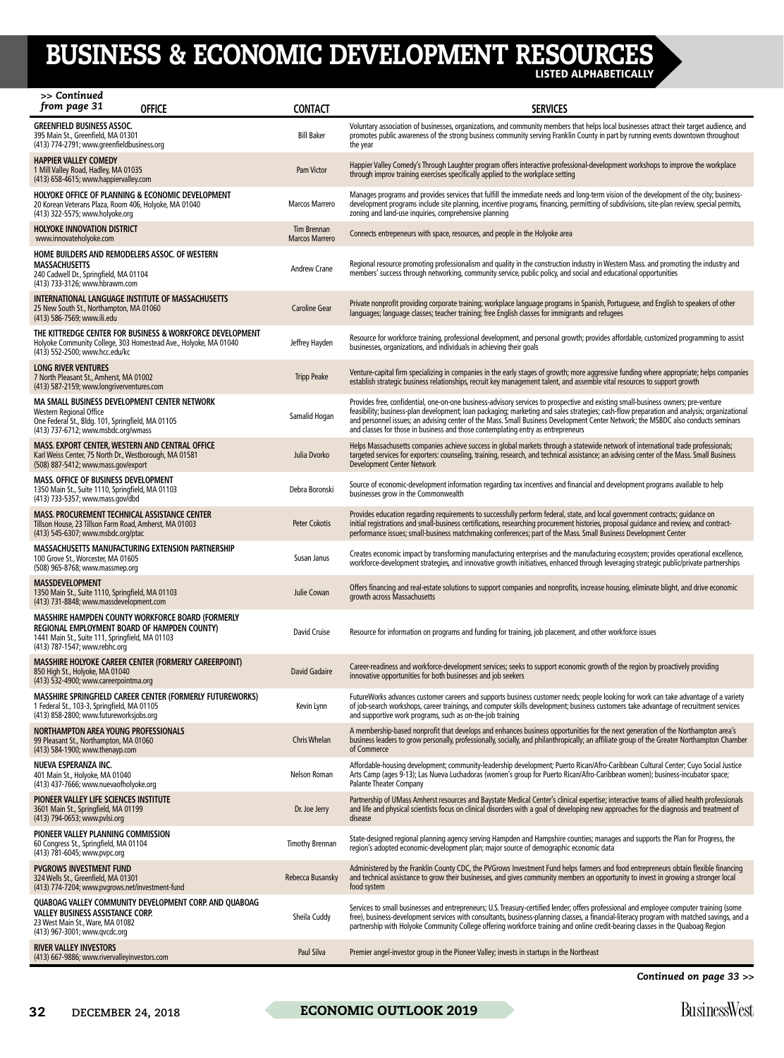## BUSINESS & ECONOMIC DEVELOPMENT RESOURCES

LISTED ALPHABETICALLY

| >> Continued<br>from page 31                                                                                                                                        | <b>OFFICE</b>                                                                                                                 | <b>CONTACT</b>                       | <b>SERVICES</b>                                                                                                                                                                                                                                                                                                                                                                                                                                                                                          |
|---------------------------------------------------------------------------------------------------------------------------------------------------------------------|-------------------------------------------------------------------------------------------------------------------------------|--------------------------------------|----------------------------------------------------------------------------------------------------------------------------------------------------------------------------------------------------------------------------------------------------------------------------------------------------------------------------------------------------------------------------------------------------------------------------------------------------------------------------------------------------------|
| <b>GREENFIELD BUSINESS ASSOC.</b><br>395 Main St., Greenfield, MA 01301<br>(413) 774-2791; www.greenfieldbusiness.org                                               |                                                                                                                               | <b>Bill Baker</b>                    | Voluntary association of businesses, organizations, and community members that helps local businesses attract their target audience, and<br>promotes public awareness of the strong business community serving Franklin County in part by running events downtown throughout<br>the year                                                                                                                                                                                                                 |
| <b>HAPPIER VALLEY COMEDY</b><br>1 Mill Valley Road, Hadley, MA 01035<br>(413) 658-4615; www.happiervalley.com                                                       |                                                                                                                               | Pam Victor                           | Happier Valley Comedy's Through Laughter program offers interactive professional-development workshops to improve the workplace<br>through improv training exercises specifically applied to the workplace setting                                                                                                                                                                                                                                                                                       |
| HOLYOKE OFFICE OF PLANNING & ECONOMIC DEVELOPMENT<br>20 Korean Veterans Plaza, Room 406, Holyoke, MA 01040<br>(413) 322-5575; www.holyoke.org                       |                                                                                                                               | Marcos Marrero                       | Manages programs and provides services that fulfill the immediate needs and long-term vision of the development of the city; business-<br>development programs include site planning, incentive programs, financing, permitting of subdivisions, site-plan review, special permits,<br>zoning and land-use inquiries, comprehensive planning                                                                                                                                                             |
| HOLYOKE INNOVATION DISTRICT<br>www.innovateholyoke.com                                                                                                              |                                                                                                                               | Tim Brennan<br><b>Marcos Marrero</b> | Connects entrepeneurs with space, resources, and people in the Holyoke area                                                                                                                                                                                                                                                                                                                                                                                                                              |
| HOME BUILDERS AND REMODELERS ASSOC. OF WESTERN<br><b>MASSACHUSETTS</b><br>240 Cadwell Dr., Springfield, MA 01104<br>(413) 733-3126; www.hbrawm.com                  |                                                                                                                               | <b>Andrew Crane</b>                  | Regional resource promoting professionalism and quality in the construction industry in Western Mass. and promoting the industry and<br>members' success through networking, community service, public policy, and social and educational opportunities                                                                                                                                                                                                                                                  |
| <b>INTERNATIONAL LANGUAGE INSTITUTE OF MASSACHUSETTS</b><br>25 New South St., Northampton, MA 01060<br>(413) 586-7569; www.ili.edu                                  |                                                                                                                               | <b>Caroline Gear</b>                 | Private nonprofit providing corporate training; workplace language programs in Spanish, Portuguese, and English to speakers of other<br>languages; language classes; teacher training; free English classes for immigrants and refugees                                                                                                                                                                                                                                                                  |
| (413) 552-2500; www.hcc.edu/kc                                                                                                                                      | THE KITTREDGE CENTER FOR BUSINESS & WORKFORCE DEVELOPMENT<br>Holyoke Community College, 303 Homestead Ave., Holyoke, MA 01040 | Jeffrey Hayden                       | Resource for workforce training, professional development, and personal growth; provides affordable, customized programming to assist<br>businesses, organizations, and individuals in achieving their goals                                                                                                                                                                                                                                                                                             |
| LONG RIVER VENTURES<br>7 North Pleasant St., Amherst, MA 01002<br>(413) 587-2159; www.longriverventures.com                                                         |                                                                                                                               | <b>Tripp Peake</b>                   | Venture-capital firm specializing in companies in the early stages of growth; more aggressive funding where appropriate; helps companies<br>establish strategic business relationships, recruit key management talent, and assemble vital resources to support growth                                                                                                                                                                                                                                    |
| MA SMALL BUSINESS DEVELOPMENT CENTER NETWORK<br>Western Regional Office<br>One Federal St., Bldg. 101, Springfield, MA 01105<br>(413) 737-6712; www.msbdc.org/wmass |                                                                                                                               | Samalid Hogan                        | Provides free, confidential, one-on-one business-advisory services to prospective and existing small-business owners; pre-venture<br>feasibility; business-plan development; loan packaging; marketing and sales strategies; cash-flow preparation and analysis; organizational<br>and personnel issues; an advising center of the Mass. Small Business Development Center Network; the MSBDC also conducts seminars<br>and classes for those in business and those contemplating entry as entrepreneurs |
| MASS. EXPORT CENTER, WESTERN AND CENTRAL OFFICE<br>Karl Weiss Center, 75 North Dr., Westborough, MA 01581<br>(508) 887-5412; www.mass.gov/export                    |                                                                                                                               | Julia Dvorko                         | Helps Massachusetts companies achieve success in global markets through a statewide network of international trade professionals;<br>targeted services for exporters: counseling, training, research, and technical assistance; an advising center of the Mass. Small Business<br><b>Development Center Network</b>                                                                                                                                                                                      |
| <b>MASS. OFFICE OF BUSINESS DEVELOPMENT</b><br>1350 Main St., Suite 1110, Springfield, MA 01103<br>(413) 733-5357; www.mass.gov/dbd                                 |                                                                                                                               | Debra Boronski                       | Source of economic-development information regarding tax incentives and financial and development programs available to help<br>businesses grow in the Commonwealth                                                                                                                                                                                                                                                                                                                                      |
| <b>MASS. PROCUREMENT TECHNICAL ASSISTANCE CENTER</b><br>Tillson House, 23 Tillson Farm Road, Amherst, MA 01003<br>(413) 545-6307; www.msbdc.org/ptac                |                                                                                                                               | <b>Peter Cokotis</b>                 | Provides education regarding requirements to successfully perform federal, state, and local government contracts; quidance on<br>initial registrations and small-business certifications, researching procurement histories, proposal guidance and review, and contract-<br>performance issues; small-business matchmaking conferences; part of the Mass. Small Business Development Center                                                                                                              |
| <b>MASSACHUSETTS MANUFACTURING EXTENSION PARTNERSHIP</b><br>100 Grove St., Worcester, MA 01605<br>(508) 965-8768; www.massmep.org                                   |                                                                                                                               | Susan Janus                          | Creates economic impact by transforming manufacturing enterprises and the manufacturing ecosystem; provides operational excellence,<br>workforce-development strategies, and innovative growth initiatives, enhanced through leveraging strategic public/private partnerships                                                                                                                                                                                                                            |
| <b>MASSDEVELOPMENT</b><br>1350 Main St., Suite 1110, Springfield, MA 01103<br>(413) 731-8848; www.massdevelopment.com                                               |                                                                                                                               | Julie Cowan                          | Offers financing and real-estate solutions to support companies and nonprofits, increase housing, eliminate blight, and drive economic<br>growth across Massachusetts                                                                                                                                                                                                                                                                                                                                    |
| REGIONAL EMPLOYMENT BOARD OF HAMPDEN COUNTY)<br>1441 Main St., Suite 111, Springfield, MA 01103<br>(413) 787-1547; www.rebhc.org                                    | MASSHIRE HAMPDEN COUNTY WORKFORCE BOARD (FORMERLY                                                                             | David Cruise                         | Resource for information on programs and funding for training, job placement, and other workforce issues                                                                                                                                                                                                                                                                                                                                                                                                 |
| 850 High St., Holyoke, MA 01040<br>(413) 532-4900; www.careerpointma.org                                                                                            | MASSHIRE HOLYOKE CAREER CENTER (FORMERLY CAREERPOINT)                                                                         | <b>David Gadaire</b>                 | Career-readiness and workforce-development services; seeks to support economic growth of the region by proactively providing<br>innovative opportunities for both businesses and job seekers                                                                                                                                                                                                                                                                                                             |
| 1 Federal St., 103-3, Springfield, MA 01105<br>(413) 858-2800; www.futureworksjobs.org                                                                              | MASSHIRE SPRINGFIELD CAREER CENTER (FORMERLY FUTUREWORKS)                                                                     | Kevin Lynn                           | FutureWorks advances customer careers and supports business customer needs; people looking for work can take advantage of a variety<br>of job-search workshops, career trainings, and computer skills development; business customers take advantage of recruitment services<br>and supportive work programs, such as on-the-job training                                                                                                                                                                |
| NORTHAMPTON AREA YOUNG PROFESSIONALS<br>99 Pleasant St., Northampton, MA 01060<br>(413) 584-1900; www.thenayp.com                                                   |                                                                                                                               | <b>Chris Whelan</b>                  | A membership-based nonprofit that develops and enhances business opportunities for the next generation of the Northampton area's<br>business leaders to grow personally, professionally, socially, and philanthropically; an affiliate group of the Greater Northampton Chamber<br>of Commerce                                                                                                                                                                                                           |
| NUEVA ESPERANZA INC.<br>401 Main St., Holyoke, MA 01040<br>(413) 437-7666; www.nuevaofholyoke.org                                                                   |                                                                                                                               | Nelson Roman                         | Affordable-housing development; community-leadership development; Puerto Rican/Afro-Caribbean Cultural Center; Cuyo Social Justice<br>Arts Camp (ages 9-13); Las Nueva Luchadoras (women's group for Puerto Rican/Afro-Caribbean women); business-incubator space;<br><b>Palante Theater Company</b>                                                                                                                                                                                                     |
| PIONEER VALLEY LIFE SCIENCES INSTITUTE<br>3601 Main St., Springfield, MA 01199<br>(413) 794-0653; www.pvlsi.org                                                     |                                                                                                                               | Dr. Joe Jerry                        | Partnership of UMass Amherst resources and Baystate Medical Center's clinical expertise; interactive teams of allied health professionals<br>and life and physical scientists focus on clinical disorders with a goal of developing new approaches for the diagnosis and treatment of<br>disease                                                                                                                                                                                                         |
| PIONEER VALLEY PLANNING COMMISSION<br>60 Congress St., Springfield, MA 01104<br>(413) 781-6045; www.pvpc.org                                                        |                                                                                                                               | <b>Timothy Brennan</b>               | State-designed regional planning agency serving Hampden and Hampshire counties; manages and supports the Plan for Progress, the<br>region's adopted economic-development plan; major source of demographic economic data                                                                                                                                                                                                                                                                                 |
| <b>PVGROWS INVESTMENT FUND</b><br>324 Wells St., Greenfield, MA 01301<br>(413) 774-7204; www.pvgrows.net/investment-fund                                            |                                                                                                                               | Rebecca Busansky                     | Administered by the Franklin County CDC, the PVGrows Investment Fund helps farmers and food entrepreneurs obtain flexible financing<br>and technical assistance to grow their businesses, and gives community members an opportunity to invest in growing a stronger local<br>food system                                                                                                                                                                                                                |
| VALLEY BUSINESS ASSISTANCE CORP.<br>23 West Main St., Ware, MA 01082<br>(413) 967-3001; www.qvcdc.org                                                               | QUABOAG VALLEY COMMUNITY DEVELOPMENT CORP. AND QUABOAG                                                                        | Sheila Cuddy                         | Services to small businesses and entrepreneurs; U.S. Treasury-certified lender; offers professional and employee computer training (some<br>free), business-development services with consultants, business-planning classes, a financial-literacy program with matched savings, and a<br>partnership with Holyoke Community College offering workforce training and online credit-bearing classes in the Quaboag Region                                                                                 |
| <b>RIVER VALLEY INVESTORS</b><br>(413) 667-9886; www.rivervalleyinvestors.com                                                                                       |                                                                                                                               | Paul Silva                           | Premier angel-investor group in the Pioneer Valley; invests in startups in the Northeast                                                                                                                                                                                                                                                                                                                                                                                                                 |

*Continued on page 33 >>*

## **32** DECEMBER 24, 2018 **ECONOMIC OUTLOOK 2019** BUSINESSWEST